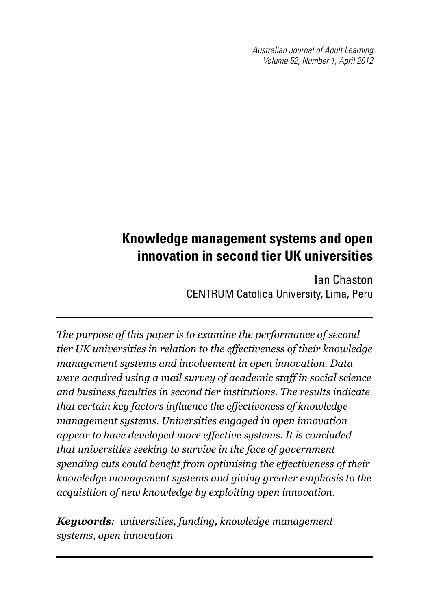*Australian Journal of Adult Learning Volume 52, Number 1, April 2012*

# **Knowledge management systems and open innovation in second tier UK universities**

Ian Chaston CENTRUM Catolica University, Lima, Peru

*The purpose of this paper is to examine the performance of second tier UK universities in relation to the effectiveness of their knowledge management systems and involvement in open innovation. Data were acquired using a mail survey of academic staff in social science and business faculties in second tier institutions. The results indicate that certain key factors influence the effectiveness of knowledge management systems. Universities engaged in open innovation appear to have developed more effective systems. It is concluded that universities seeking to survive in the face of government spending cuts could benefit from optimising the effectiveness of their knowledge management systems and giving greater emphasis to the acquisition of new knowledge by exploiting open innovation.* 

*Keywords: universities, funding, knowledge management systems, open innovation*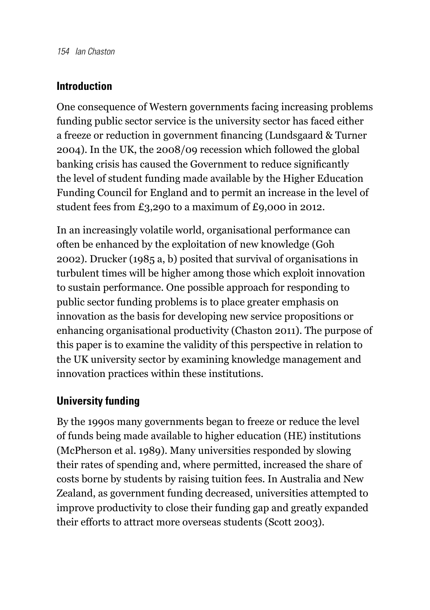#### **Introduction**

One consequence of Western governments facing increasing problems funding public sector service is the university sector has faced either a freeze or reduction in government financing (Lundsgaard & Turner 2004). In the UK, the 2008/09 recession which followed the global banking crisis has caused the Government to reduce significantly the level of student funding made available by the Higher Education Funding Council for England and to permit an increase in the level of student fees from £3,290 to a maximum of £9,000 in 2012.

In an increasingly volatile world, organisational performance can often be enhanced by the exploitation of new knowledge (Goh 2002). Drucker (1985 a, b) posited that survival of organisations in turbulent times will be higher among those which exploit innovation to sustain performance. One possible approach for responding to public sector funding problems is to place greater emphasis on innovation as the basis for developing new service propositions or enhancing organisational productivity (Chaston 2011). The purpose of this paper is to examine the validity of this perspective in relation to the UK university sector by examining knowledge management and innovation practices within these institutions.

#### **University funding**

By the 1990s many governments began to freeze or reduce the level of funds being made available to higher education (HE) institutions (McPherson et al. 1989). Many universities responded by slowing their rates of spending and, where permitted, increased the share of costs borne by students by raising tuition fees. In Australia and New Zealand, as government funding decreased, universities attempted to improve productivity to close their funding gap and greatly expanded their efforts to attract more overseas students (Scott 2003).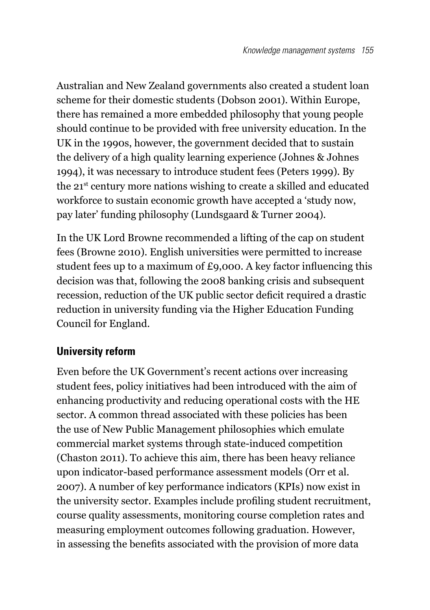Australian and New Zealand governments also created a student loan scheme for their domestic students (Dobson 2001). Within Europe, there has remained a more embedded philosophy that young people should continue to be provided with free university education. In the UK in the 1990s, however, the government decided that to sustain the delivery of a high quality learning experience (Johnes & Johnes 1994), it was necessary to introduce student fees (Peters 1999). By the 21st century more nations wishing to create a skilled and educated workforce to sustain economic growth have accepted a 'study now, pay later' funding philosophy (Lundsgaard & Turner 2004).

In the UK Lord Browne recommended a lifting of the cap on student fees (Browne 2010). English universities were permitted to increase student fees up to a maximum of £9,000. A key factor influencing this decision was that, following the 2008 banking crisis and subsequent recession, reduction of the UK public sector deficit required a drastic reduction in university funding via the Higher Education Funding Council for England.

# **University reform**

Even before the UK Government's recent actions over increasing student fees, policy initiatives had been introduced with the aim of enhancing productivity and reducing operational costs with the HE sector. A common thread associated with these policies has been the use of New Public Management philosophies which emulate commercial market systems through state-induced competition (Chaston 2011). To achieve this aim, there has been heavy reliance upon indicator-based performance assessment models (Orr et al. 2007). A number of key performance indicators (KPIs) now exist in the university sector. Examples include profiling student recruitment, course quality assessments, monitoring course completion rates and measuring employment outcomes following graduation. However, in assessing the benefits associated with the provision of more data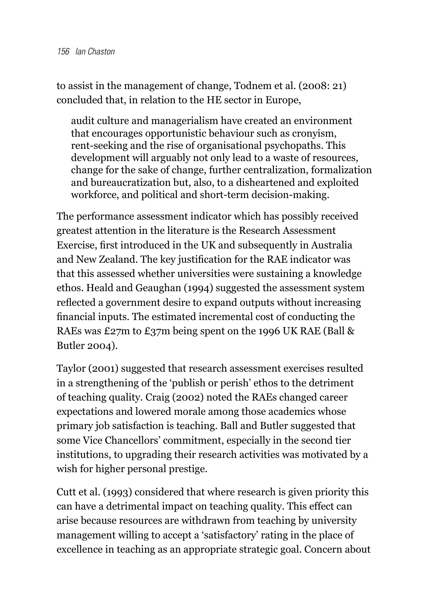to assist in the management of change, Todnem et al. (2008: 21) concluded that, in relation to the HE sector in Europe,

audit culture and managerialism have created an environment that encourages opportunistic behaviour such as cronyism, rent-seeking and the rise of organisational psychopaths. This development will arguably not only lead to a waste of resources, change for the sake of change, further centralization, formalization and bureaucratization but, also, to a disheartened and exploited workforce, and political and short-term decision-making.

The performance assessment indicator which has possibly received greatest attention in the literature is the Research Assessment Exercise, first introduced in the UK and subsequently in Australia and New Zealand. The key justification for the RAE indicator was that this assessed whether universities were sustaining a knowledge ethos. Heald and Geaughan (1994) suggested the assessment system reflected a government desire to expand outputs without increasing financial inputs. The estimated incremental cost of conducting the RAEs was £27m to £37m being spent on the 1996 UK RAE (Ball & Butler 2004).

Taylor (2001) suggested that research assessment exercises resulted in a strengthening of the 'publish or perish' ethos to the detriment of teaching quality. Craig (2002) noted the RAEs changed career expectations and lowered morale among those academics whose primary job satisfaction is teaching. Ball and Butler suggested that some Vice Chancellors' commitment, especially in the second tier institutions, to upgrading their research activities was motivated by a wish for higher personal prestige.

Cutt et al. (1993) considered that where research is given priority this can have a detrimental impact on teaching quality. This effect can arise because resources are withdrawn from teaching by university management willing to accept a 'satisfactory' rating in the place of excellence in teaching as an appropriate strategic goal. Concern about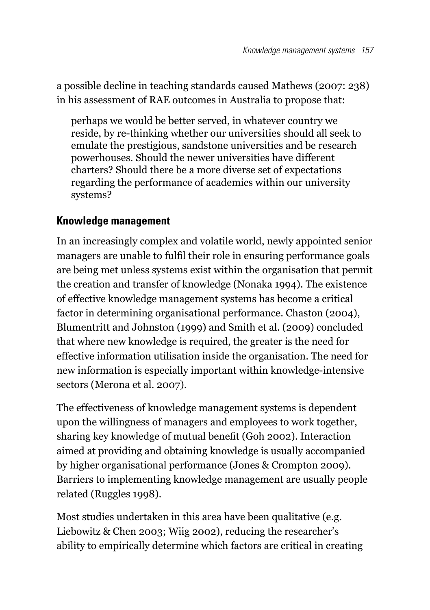a possible decline in teaching standards caused Mathews (2007: 238) in his assessment of RAE outcomes in Australia to propose that:

perhaps we would be better served, in whatever country we reside, by re-thinking whether our universities should all seek to emulate the prestigious, sandstone universities and be research powerhouses. Should the newer universities have different charters? Should there be a more diverse set of expectations regarding the performance of academics within our university systems?

#### **Knowledge management**

In an increasingly complex and volatile world, newly appointed senior managers are unable to fulfil their role in ensuring performance goals are being met unless systems exist within the organisation that permit the creation and transfer of knowledge (Nonaka 1994). The existence of effective knowledge management systems has become a critical factor in determining organisational performance. Chaston (2004), Blumentritt and Johnston (1999) and Smith et al. (2009) concluded that where new knowledge is required, the greater is the need for effective information utilisation inside the organisation. The need for new information is especially important within knowledge-intensive sectors (Merona et al. 2007).

The effectiveness of knowledge management systems is dependent upon the willingness of managers and employees to work together, sharing key knowledge of mutual benefit (Goh 2002). Interaction aimed at providing and obtaining knowledge is usually accompanied by higher organisational performance (Jones & Crompton 2009). Barriers to implementing knowledge management are usually people related (Ruggles 1998).

Most studies undertaken in this area have been qualitative (e.g. Liebowitz & Chen 2003; Wiig 2002), reducing the researcher's ability to empirically determine which factors are critical in creating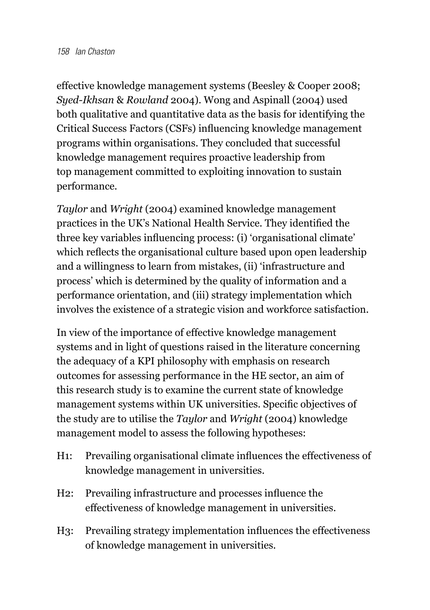effective knowledge management systems (Beesley & Cooper 2008; *Syed-Ikhsan* & *Rowland* 2004). Wong and Aspinall (2004) used both qualitative and quantitative data as the basis for identifying the Critical Success Factors (CSFs) influencing knowledge management programs within organisations. They concluded that successful knowledge management requires proactive leadership from top management committed to exploiting innovation to sustain performance.

*Taylor* and *Wright* (2004) examined knowledge management practices in the UK's National Health Service. They identified the three key variables influencing process: (i) 'organisational climate' which reflects the organisational culture based upon open leadership and a willingness to learn from mistakes, (ii) 'infrastructure and process' which is determined by the quality of information and a performance orientation, and (iii) strategy implementation which involves the existence of a strategic vision and workforce satisfaction.

In view of the importance of effective knowledge management systems and in light of questions raised in the literature concerning the adequacy of a KPI philosophy with emphasis on research outcomes for assessing performance in the HE sector, an aim of this research study is to examine the current state of knowledge management systems within UK universities. Specific objectives of the study are to utilise the *Taylor* and *Wright* (2004) knowledge management model to assess the following hypotheses:

- H<sub>1</sub>: Prevailing organisational climate influences the effectiveness of knowledge management in universities.
- H<sub>2</sub>: Prevailing infrastructure and processes influence the effectiveness of knowledge management in universities.
- H<sub>3</sub>: Prevailing strategy implementation influences the effectiveness of knowledge management in universities.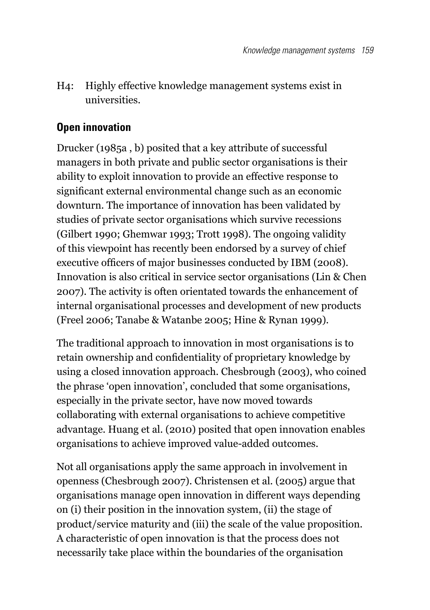H4: Highly effective knowledge management systems exist in universities.

# **Open innovation**

Drucker (1985a , b) posited that a key attribute of successful managers in both private and public sector organisations is their ability to exploit innovation to provide an effective response to significant external environmental change such as an economic downturn. The importance of innovation has been validated by studies of private sector organisations which survive recessions (Gilbert 1990; Ghemwar 1993; Trott 1998). The ongoing validity of this viewpoint has recently been endorsed by a survey of chief executive officers of major businesses conducted by IBM (2008). Innovation is also critical in service sector organisations (Lin & Chen 2007). The activity is often orientated towards the enhancement of internal organisational processes and development of new products (Freel 2006; Tanabe & Watanbe 2005; Hine & Rynan 1999).

The traditional approach to innovation in most organisations is to retain ownership and confidentiality of proprietary knowledge by using a closed innovation approach. Chesbrough (2003), who coined the phrase 'open innovation', concluded that some organisations, especially in the private sector, have now moved towards collaborating with external organisations to achieve competitive advantage. Huang et al. (2010) posited that open innovation enables organisations to achieve improved value-added outcomes.

Not all organisations apply the same approach in involvement in openness (Chesbrough 2007). Christensen et al. (2005) argue that organisations manage open innovation in different ways depending on (i) their position in the innovation system, (ii) the stage of product/service maturity and (iii) the scale of the value proposition. A characteristic of open innovation is that the process does not necessarily take place within the boundaries of the organisation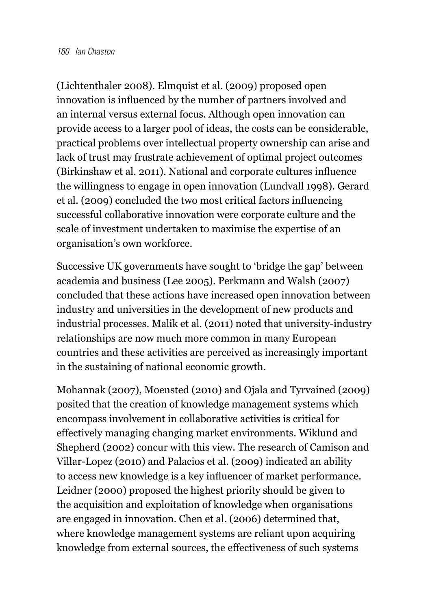(Lichtenthaler 2008). Elmquist et al. (2009) proposed open innovation is influenced by the number of partners involved and an internal versus external focus. Although open innovation can provide access to a larger pool of ideas, the costs can be considerable, practical problems over intellectual property ownership can arise and lack of trust may frustrate achievement of optimal project outcomes (Birkinshaw et al. 2011). National and corporate cultures influence the willingness to engage in open innovation (Lundvall 1998). Gerard et al. (2009) concluded the two most critical factors influencing successful collaborative innovation were corporate culture and the scale of investment undertaken to maximise the expertise of an organisation's own workforce.

Successive UK governments have sought to 'bridge the gap' between academia and business (Lee 2005). Perkmann and Walsh (2007) concluded that these actions have increased open innovation between industry and universities in the development of new products and industrial processes. Malik et al. (2011) noted that university-industry relationships are now much more common in many European countries and these activities are perceived as increasingly important in the sustaining of national economic growth.

Mohannak (2007), Moensted (2010) and Ojala and Tyrvained (2009) posited that the creation of knowledge management systems which encompass involvement in collaborative activities is critical for effectively managing changing market environments. Wiklund and Shepherd (2002) concur with this view. The research of Camison and Villar-Lopez (2010) and Palacios et al. (2009) indicated an ability to access new knowledge is a key influencer of market performance. Leidner (2000) proposed the highest priority should be given to the acquisition and exploitation of knowledge when organisations are engaged in innovation. Chen et al. (2006) determined that, where knowledge management systems are reliant upon acquiring knowledge from external sources, the effectiveness of such systems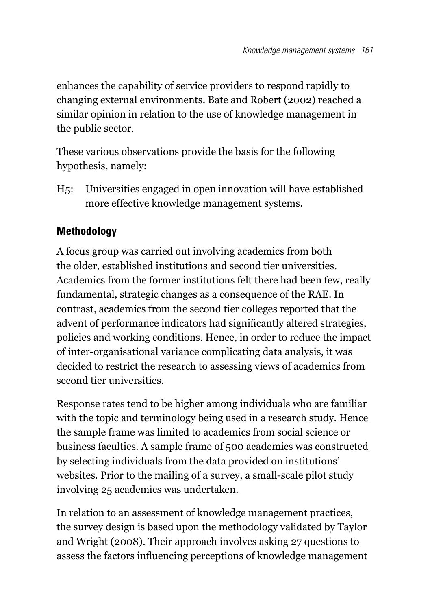enhances the capability of service providers to respond rapidly to changing external environments. Bate and Robert (2002) reached a similar opinion in relation to the use of knowledge management in the public sector.

These various observations provide the basis for the following hypothesis, namely:

H5: Universities engaged in open innovation will have established more effective knowledge management systems.

# **Methodology**

A focus group was carried out involving academics from both the older, established institutions and second tier universities. Academics from the former institutions felt there had been few, really fundamental, strategic changes as a consequence of the RAE. In contrast, academics from the second tier colleges reported that the advent of performance indicators had significantly altered strategies, policies and working conditions. Hence, in order to reduce the impact of inter-organisational variance complicating data analysis, it was decided to restrict the research to assessing views of academics from second tier universities.

Response rates tend to be higher among individuals who are familiar with the topic and terminology being used in a research study. Hence the sample frame was limited to academics from social science or business faculties. A sample frame of 500 academics was constructed by selecting individuals from the data provided on institutions' websites. Prior to the mailing of a survey, a small-scale pilot study involving 25 academics was undertaken.

In relation to an assessment of knowledge management practices, the survey design is based upon the methodology validated by Taylor and Wright (2008). Their approach involves asking 27 questions to assess the factors influencing perceptions of knowledge management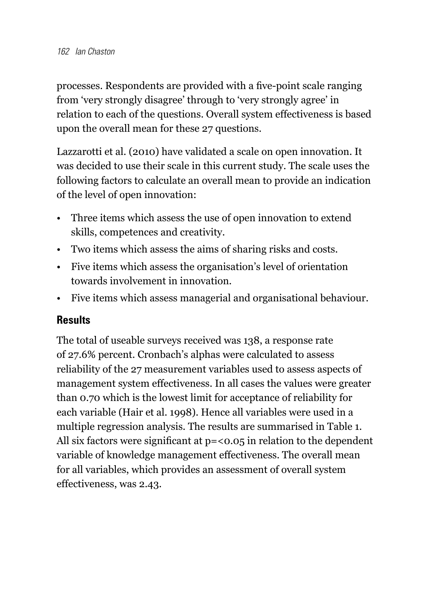processes. Respondents are provided with a five-point scale ranging from 'very strongly disagree' through to 'very strongly agree' in relation to each of the questions. Overall system effectiveness is based upon the overall mean for these 27 questions.

Lazzarotti et al. (2010) have validated a scale on open innovation. It was decided to use their scale in this current study. The scale uses the following factors to calculate an overall mean to provide an indication of the level of open innovation:

- • Three items which assess the use of open innovation to extend skills, competences and creativity.
- • Two items which assess the aims of sharing risks and costs.
- • Five items which assess the organisation's level of orientation towards involvement in innovation.
- Five items which assess managerial and organisational behaviour.

#### **Results**

The total of useable surveys received was 138, a response rate of 27.6% percent. Cronbach's alphas were calculated to assess reliability of the 27 measurement variables used to assess aspects of management system effectiveness. In all cases the values were greater than 0.70 which is the lowest limit for acceptance of reliability for each variable (Hair et al. 1998). Hence all variables were used in a multiple regression analysis. The results are summarised in Table 1. All six factors were significant at  $p = 0.05$  in relation to the dependent variable of knowledge management effectiveness. The overall mean for all variables, which provides an assessment of overall system effectiveness, was 2.43.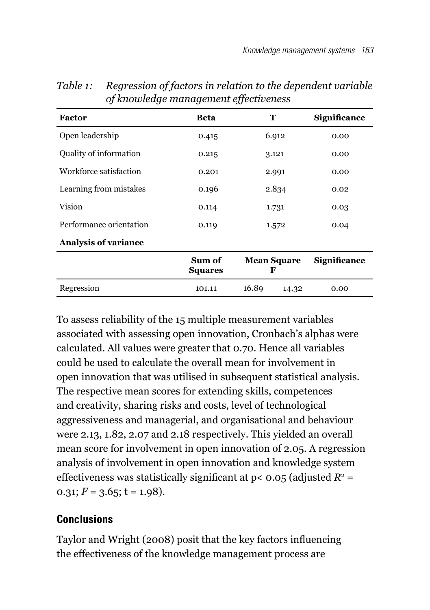| Factor                      | Beta                     | т                       | <b>Significance</b> |
|-----------------------------|--------------------------|-------------------------|---------------------|
| Open leadership             | 0.415                    | 6.912                   | 0.00                |
| Quality of information      | 0.215                    | 3.121                   | 0.00                |
| Workforce satisfaction      | 0.201                    | 2.991                   | 0.00                |
| Learning from mistakes      | 0.196                    | 2.834                   | 0.02                |
| Vision                      | 0.114                    | 1.731                   | 0.03                |
| Performance orientation     | 0.119                    | 1.572                   | 0.04                |
| <b>Analysis of variance</b> |                          |                         |                     |
|                             | Sum of<br><b>Squares</b> | <b>Mean Square</b><br>F | <b>Significance</b> |
| Regression                  | 101.11                   | 16.89<br>14.32          | 0.00                |

*Table 1: Regression of factors in relation to the dependent variable of knowledge management effectiveness*

To assess reliability of the 15 multiple measurement variables associated with assessing open innovation, Cronbach's alphas were calculated. All values were greater that 0.70. Hence all variables could be used to calculate the overall mean for involvement in open innovation that was utilised in subsequent statistical analysis. The respective mean scores for extending skills, competences and creativity, sharing risks and costs, level of technological aggressiveness and managerial, and organisational and behaviour were 2.13, 1.82, 2.07 and 2.18 respectively. This yielded an overall mean score for involvement in open innovation of 2.05. A regression analysis of involvement in open innovation and knowledge system effectiveness was statistically significant at  $p < 0.05$  (adjusted  $R^2 =$ 0.31;  $F = 3.65$ ;  $t = 1.98$ ).

# **Conclusions**

Taylor and Wright (2008) posit that the key factors influencing the effectiveness of the knowledge management process are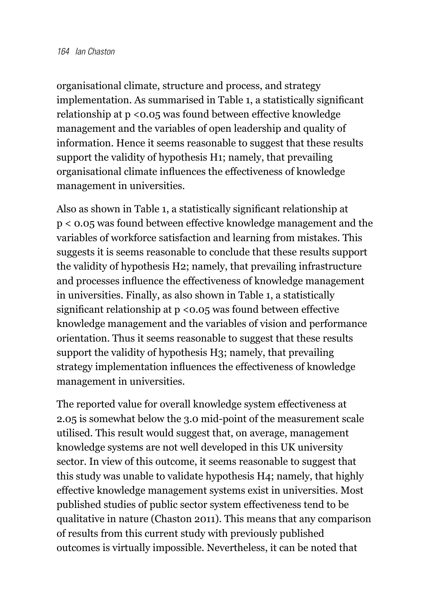organisational climate, structure and process, and strategy implementation. As summarised in Table 1, a statistically significant relationship at p <0.05 was found between effective knowledge management and the variables of open leadership and quality of information. Hence it seems reasonable to suggest that these results support the validity of hypothesis H1; namely, that prevailing organisational climate influences the effectiveness of knowledge management in universities.

Also as shown in Table 1, a statistically significant relationship at p < 0.05 was found between effective knowledge management and the variables of workforce satisfaction and learning from mistakes. This suggests it is seems reasonable to conclude that these results support the validity of hypothesis H2; namely, that prevailing infrastructure and processes influence the effectiveness of knowledge management in universities. Finally, as also shown in Table 1, a statistically significant relationship at p <0.05 was found between effective knowledge management and the variables of vision and performance orientation. Thus it seems reasonable to suggest that these results support the validity of hypothesis H3; namely, that prevailing strategy implementation influences the effectiveness of knowledge management in universities.

The reported value for overall knowledge system effectiveness at 2.05 is somewhat below the 3.0 mid-point of the measurement scale utilised. This result would suggest that, on average, management knowledge systems are not well developed in this UK university sector. In view of this outcome, it seems reasonable to suggest that this study was unable to validate hypothesis H4; namely, that highly effective knowledge management systems exist in universities. Most published studies of public sector system effectiveness tend to be qualitative in nature (Chaston 2011). This means that any comparison of results from this current study with previously published outcomes is virtually impossible. Nevertheless, it can be noted that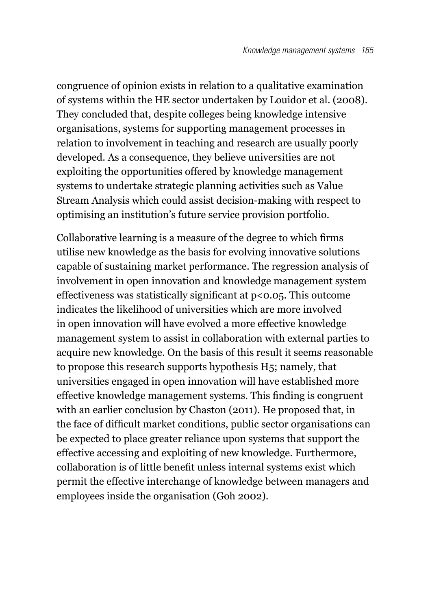congruence of opinion exists in relation to a qualitative examination of systems within the HE sector undertaken by Louidor et al. (2008). They concluded that, despite colleges being knowledge intensive organisations, systems for supporting management processes in relation to involvement in teaching and research are usually poorly developed. As a consequence, they believe universities are not exploiting the opportunities offered by knowledge management systems to undertake strategic planning activities such as Value Stream Analysis which could assist decision-making with respect to optimising an institution's future service provision portfolio.

Collaborative learning is a measure of the degree to which firms utilise new knowledge as the basis for evolving innovative solutions capable of sustaining market performance. The regression analysis of involvement in open innovation and knowledge management system effectiveness was statistically significant at  $p < 0.05$ . This outcome indicates the likelihood of universities which are more involved in open innovation will have evolved a more effective knowledge management system to assist in collaboration with external parties to acquire new knowledge. On the basis of this result it seems reasonable to propose this research supports hypothesis H5; namely, that universities engaged in open innovation will have established more effective knowledge management systems. This finding is congruent with an earlier conclusion by Chaston (2011). He proposed that, in the face of difficult market conditions, public sector organisations can be expected to place greater reliance upon systems that support the effective accessing and exploiting of new knowledge. Furthermore, collaboration is of little benefit unless internal systems exist which permit the effective interchange of knowledge between managers and employees inside the organisation (Goh 2002).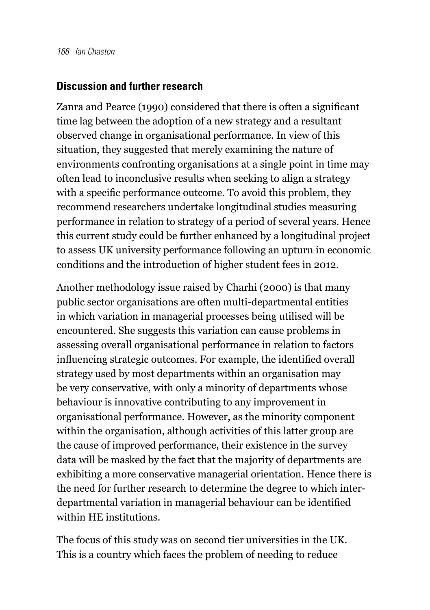#### **Discussion and further research**

Zanra and Pearce (1990) considered that there is often a significant time lag between the adoption of a new strategy and a resultant observed change in organisational performance. In view of this situation, they suggested that merely examining the nature of environments confronting organisations at a single point in time may often lead to inconclusive results when seeking to align a strategy with a specific performance outcome. To avoid this problem, they recommend researchers undertake longitudinal studies measuring performance in relation to strategy of a period of several years. Hence this current study could be further enhanced by a longitudinal project to assess UK university performance following an upturn in economic conditions and the introduction of higher student fees in 2012.

Another methodology issue raised by Charhi (2000) is that many public sector organisations are often multi-departmental entities in which variation in managerial processes being utilised will be encountered. She suggests this variation can cause problems in assessing overall organisational performance in relation to factors influencing strategic outcomes. For example, the identified overall strategy used by most departments within an organisation may be very conservative, with only a minority of departments whose behaviour is innovative contributing to any improvement in organisational performance. However, as the minority component within the organisation, although activities of this latter group are the cause of improved performance, their existence in the survey data will be masked by the fact that the majority of departments are exhibiting a more conservative managerial orientation. Hence there is the need for further research to determine the degree to which interdepartmental variation in managerial behaviour can be identified within HE institutions.

The focus of this study was on second tier universities in the UK. This is a country which faces the problem of needing to reduce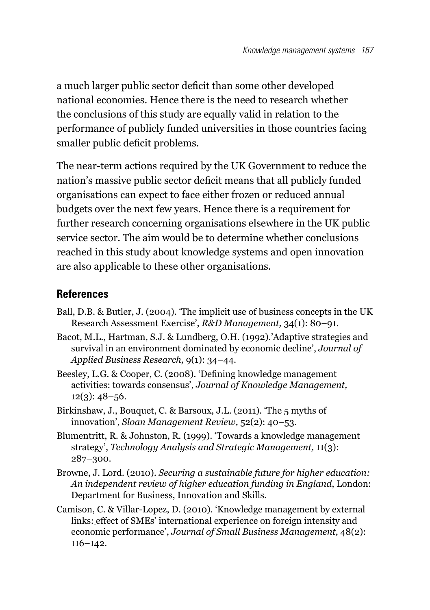a much larger public sector deficit than some other developed national economies. Hence there is the need to research whether the conclusions of this study are equally valid in relation to the performance of publicly funded universities in those countries facing smaller public deficit problems.

The near-term actions required by the UK Government to reduce the nation's massive public sector deficit means that all publicly funded organisations can expect to face either frozen or reduced annual budgets over the next few years. Hence there is a requirement for further research concerning organisations elsewhere in the UK public service sector. The aim would be to determine whether conclusions reached in this study about knowledge systems and open innovation are also applicable to these other organisations.

#### **References**

- Ball, D.B. & Butler, J. (2004). 'The implicit use of business concepts in the UK Research Assessment Exercise', *R&D Management,* 34(1): 80–91.
- Bacot, M.L., Hartman, S.J. & Lundberg, O.H. (1992).'Adaptive strategies and survival in an environment dominated by economic decline', *Journal of Applied Business Research,* 9(1): 34–44.
- Beesley, L.G. & Cooper, C. (2008). 'Defining knowledge management activities: towards consensus', *Journal of Knowledge Management,*   $12(3): 48 - 56.$
- Birkinshaw, J., Bouquet, C. & Barsoux, J.L. (2011). 'The 5 myths of innovation', *Sloan Management Review,* 52(2): 40–53.
- Blumentritt, R. & Johnston, R. (1999). 'Towards a knowledge management strategy', *Technology Analysis and Strategic Management,* 11(3): 287–300.
- Browne, J. Lord. (2010). *Securing a sustainable future for higher education: An independent review of higher education funding in England*, London: Department for Business, Innovation and Skills.
- Camison, C. & Villar-Lopez, D. (2010). 'Knowledge management by external links: effect of SMEs' international experience on foreign intensity and economic performance', *Journal of Small Business Management,* 48(2): 116–142.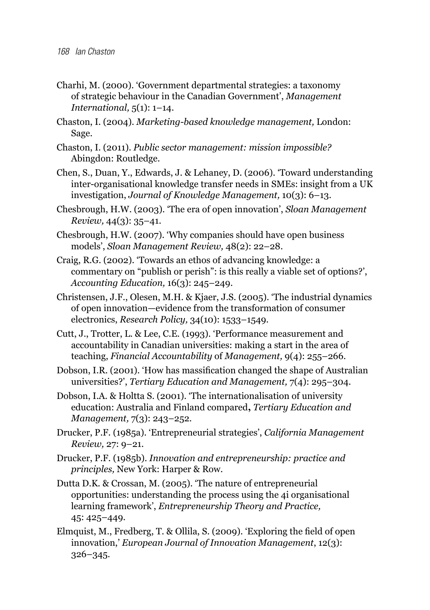- Charhi, M. (2000). 'Government departmental strategies: a taxonomy of strategic behaviour in the Canadian Government', *Management International,* 5(1): 1–14.
- Chaston, I. (2004). *Marketing-based knowledge management,* London: Sage.
- Chaston, I. (2011). *Public sector management: mission impossible?* Abingdon: Routledge.
- Chen, S., Duan, Y., Edwards, J. & Lehaney, D. (2006). 'Toward understanding inter-organisational knowledge transfer needs in SMEs: insight from a UK investigation, *Journal of Knowledge Management,* 10(3): 6–13.
- Chesbrough, H.W. (2003). 'The era of open innovation', *Sloan Management Review,* 44(3): 35–41.
- Chesbrough, H.W. (2007). 'Why companies should have open business models', *Sloan Management Review,* 48(2): 22–28.
- Craig, R.G. (2002). 'Towards an ethos of advancing knowledge: a commentary on "publish or perish": is this really a viable set of options?', *Accounting Education,* 16(3): 245–249.
- Christensen, J.F., Olesen, M.H. & Kjaer, J.S. (2005). 'The industrial dynamics of open innovation—evidence from the transformation of consumer electronics, *Research Policy,* 34(10): 1533–1549.
- Cutt, J., Trotter, L. & Lee, C.E. (1993). 'Performance measurement and accountability in Canadian universities: making a start in the area of teaching, *Financial Accountability* of *Management,* 9(4): 255–266.
- Dobson, I.R. (2001). 'How has massification changed the shape of Australian universities?', *Tertiary Education and Management,* 7(4): 295–304.
- Dobson, I.A. & Holtta S. (2001). 'The internationalisation of university education: Australia and Finland compared**,** *Tertiary Education and Management,* 7(3): 243–252.
- Drucker, P.F. (1985a). 'Entrepreneurial strategies', *California Management Review,* 27: 9–21.
- Drucker, P.F. (1985b). *Innovation and entrepreneurship: practice and principles,* New York: Harper & Row.
- Dutta D.K. & Crossan, M. (2005). 'The nature of entrepreneurial opportunities: understanding the process using the 4i organisational learning framework', *Entrepreneurship Theory and Practice,* 45: 425–449.
- Elmquist, M., Fredberg, T. & Ollila, S. (2009). 'Exploring the field of open innovation,' *European Journal of Innovation Management*, 12(3): 326–345.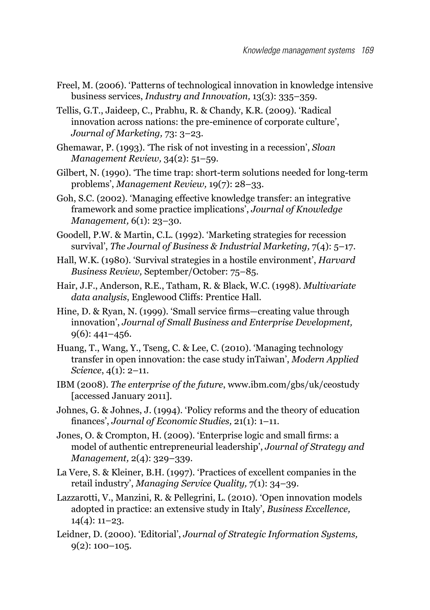- Freel, M. (2006). 'Patterns of technological innovation in knowledge intensive business services, *Industry and Innovation,* 13(3): 335–359.
- Tellis, G.T., Jaideep, C., Prabhu, R. & Chandy, K.R. (2009). 'Radical innovation across nations: the pre-eminence of corporate culture', *Journal of Marketing,* 73: 3–23.

Ghemawar, P. (1993). 'The risk of not investing in a recession', *Sloan Management Review,* 34(2): 51–59.

Gilbert, N. (1990). 'The time trap: short-term solutions needed for long-term problems', *Management Review,* 19(7): 28–33.

Goh, S.C. (2002). 'Managing effective knowledge transfer: an integrative framework and some practice implications', *Journal of Knowledge Management,* 6(1): 23–30.

Goodell, P.W. & Martin, C.L. (1992). 'Marketing strategies for recession survival', *The Journal of Business & Industrial Marketing,* 7(4): 5–17.

Hall, W.K. (1980). 'Survival strategies in a hostile environment', *Harvard Business Review,* September/October: 75–85.

- Hair, J.F., Anderson, R.E., Tatham, R. & Black, W.C. (1998). *Multivariate data analysis*, Englewood Cliffs: Prentice Hall.
- Hine, D. & Ryan, N. (1999). 'Small service firms—creating value through innovation', *Journal of Small Business and Enterprise Development,*  9(6): 441–456.
- Huang, T., Wang, Y., Tseng, C. & Lee, C. (2010). 'Managing technology transfer in open innovation: the case study inTaiwan', *Modern Applied Science*, 4(1): 2–11.
- IBM (2008). *The enterprise of the future*, www.ibm.com/gbs/uk/ceostudy [accessed January 2011].
- Johnes, G. & Johnes, J. (1994). 'Policy reforms and the theory of education finances', *Journal of Economic Studies,* 21(1): 1–11.
- Jones, O. & Crompton, H. (2009). 'Enterprise logic and small firms: a model of authentic entrepreneurial leadership', *Journal of Strategy and Management,* 2(4): 329–339.
- La Vere, S. & Kleiner, B.H. (1997). 'Practices of excellent companies in the retail industry', *Managing Service Quality,* 7(1): 34–39.
- Lazzarotti, V., Manzini, R. & Pellegrini, L. (2010). 'Open innovation models adopted in practice: an extensive study in Italy', *Business Excellence,* 14(4): 11–23.
- Leidner, D. (2000). 'Editorial', *Journal of Strategic Information Systems,* 9(2): 100–105.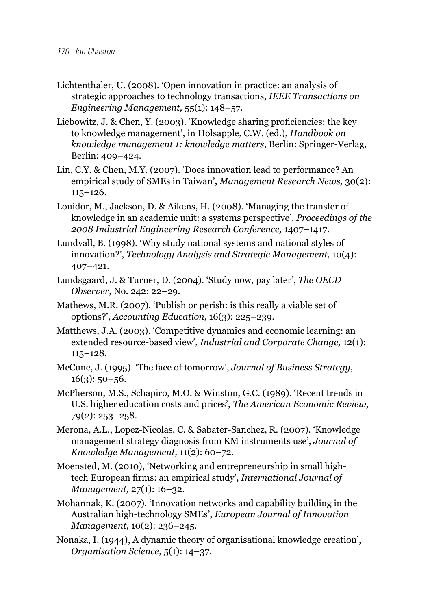- Lichtenthaler, U. (2008). 'Open innovation in practice: an analysis of strategic approaches to technology transactions, *IEEE Transactions on Engineering Management,* 55(1): 148–57.
- Liebowitz, J. & Chen, Y. (2003). 'Knowledge sharing proficiencies: the key to knowledge management', in Holsapple, C.W. (ed.), *Handbook on knowledge management 1: knowledge matters*, Berlin: Springer-Verlag, Berlin: 409–424.
- Lin, C.Y. & Chen, M.Y. (2007). 'Does innovation lead to performance? An empirical study of SMEs in Taiwan', *Management Research News,* 30(2): 115–126.
- Louidor, M., Jackson, D. & Aikens, H. (2008). 'Managing the transfer of knowledge in an academic unit: a systems perspective', *Proceedings of the 2008 Industrial Engineering Research Conference,* 1407–1417.
- Lundvall, B. (1998). 'Why study national systems and national styles of innovation?', *Technology Analysis and Strategic Management,* 10(4): 407–421.
- Lundsgaard, J. & Turner, D. (2004). 'Study now, pay later', *The OECD Observer,* No. 242: 22–29.
- Mathews, M.R. (2007). 'Publish or perish: is this really a viable set of options?', *Accounting Education,* 16(3): 225–239.
- Matthews, J.A. (2003). 'Competitive dynamics and economic learning: an extended resource-based view', *Industrial and Corporate Change,* 12(1): 115–128.
- McCune, J. (1995). 'The face of tomorrow', *Journal of Business Strategy,*   $16(3)$ : 50–56.
- McPherson, M.S., Schapiro, M.O. & Winston, G.C. (1989). 'Recent trends in U.S. higher education costs and prices', *The American Economic Review,* 79(2): 253–258.
- Merona, A.L., Lopez-Nicolas, C. & Sabater-Sanchez, R. (2007). 'Knowledge management strategy diagnosis from KM instruments use', *Journal of Knowledge Management,* 11(2): 60–72.
- Moensted, M. (2010), 'Networking and entrepreneurship in small hightech European firms: an empirical study', *International Journal of Management,* 27(1): 16–32.
- Mohannak, K. (2007). 'Innovation networks and capability building in the Australian high-technology SMEs', *European Journal of Innovation Management,* 10(2): 236–245.
- Nonaka, I. (1944), A dynamic theory of organisational knowledge creation', *Organisation Science,* 5(1): 14–37.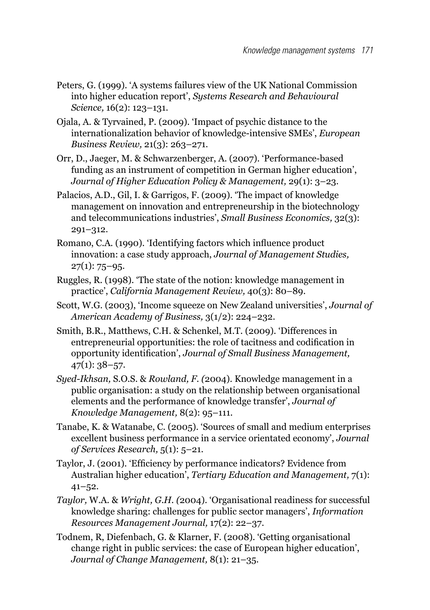- Peters, G. (1999). 'A systems failures view of the UK National Commission into higher education report', *Systems Research and Behavioural Science,* 16(2): 123–131.
- Ojala, A. & Tyrvained, P. (2009). 'Impact of psychic distance to the internationalization behavior of knowledge-intensive SMEs', *European Business Review,* 21(3): 263–271.
- Orr, D., Jaeger, M. & Schwarzenberger, A. (2007). 'Performance-based funding as an instrument of competition in German higher education', *Journal of Higher Education Policy & Management,* 29(1): 3–23.
- Palacios, A.D., Gil, I. & Garrigos, F. (2009). 'The impact of knowledge management on innovation and entrepreneurship in the biotechnology and telecommunications industries', *Small Business Economics,* 32(3): 291–312.
- Romano, C.A. (1990). 'Identifying factors which influence product innovation: a case study approach, *Journal of Management Studies,*  $27(1)$ : 75–95.
- Ruggles, R. (1998). 'The state of the notion: knowledge management in practice', *California Management Review,* 40(3): 80–89.
- Scott, W.G. (2003), 'Income squeeze on New Zealand universities', *Journal of American Academy of Business,* 3(1/2): 224–232.
- Smith, B.R., Matthews, C.H. & Schenkel, M.T. (2009). 'Differences in entrepreneurial opportunities: the role of tacitness and codification in opportunity identification', *Journal of Small Business Management,*   $47(1): 38 - 57.$
- *Syed-Ikhsan,* S.O.S. & *Rowland, F. (*2004). Knowledge management in a public organisation: a study on the relationship between organisational elements and the performance of knowledge transfer', *Journal of Knowledge Management,* 8(2): 95–111.
- Tanabe, K. & Watanabe, C. (2005). 'Sources of small and medium enterprises excellent business performance in a service orientated economy', *Journal of Services Research,* 5(1): 5–21.
- Taylor, J. (2001). 'Efficiency by performance indicators? Evidence from Australian higher education', *Tertiary Education and Management,* 7(1): 41–52.
- *Taylor,* W.A. & *Wright, G.H. (*2004). 'Organisational readiness for successful knowledge sharing: challenges for public sector managers', *Information Resources Management Journal,* 17(2): 22–37.
- Todnem, R, Diefenbach, G. & Klarner, F. (2008). 'Getting organisational change right in public services: the case of European higher education', *Journal of Change Management,* 8(1): 21–35.